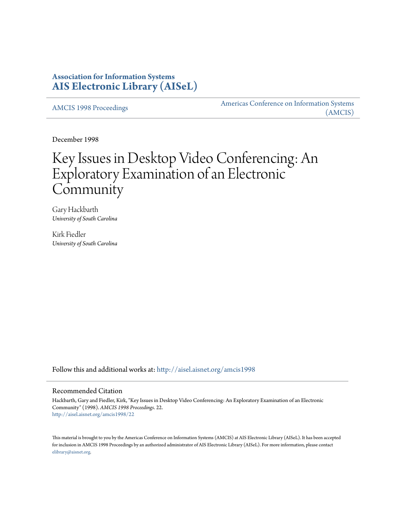## **Association for Information Systems [AIS Electronic Library \(AISeL\)](http://aisel.aisnet.org?utm_source=aisel.aisnet.org%2Famcis1998%2F22&utm_medium=PDF&utm_campaign=PDFCoverPages)**

[AMCIS 1998 Proceedings](http://aisel.aisnet.org/amcis1998?utm_source=aisel.aisnet.org%2Famcis1998%2F22&utm_medium=PDF&utm_campaign=PDFCoverPages)

[Americas Conference on Information Systems](http://aisel.aisnet.org/amcis?utm_source=aisel.aisnet.org%2Famcis1998%2F22&utm_medium=PDF&utm_campaign=PDFCoverPages) [\(AMCIS\)](http://aisel.aisnet.org/amcis?utm_source=aisel.aisnet.org%2Famcis1998%2F22&utm_medium=PDF&utm_campaign=PDFCoverPages)

December 1998

# Key Issues in Desktop Video Conferencing: An Exploratory Examination of an Electronic Community

Gary Hackbarth *University of South Carolina*

Kirk Fiedler *University of South Carolina*

Follow this and additional works at: [http://aisel.aisnet.org/amcis1998](http://aisel.aisnet.org/amcis1998?utm_source=aisel.aisnet.org%2Famcis1998%2F22&utm_medium=PDF&utm_campaign=PDFCoverPages)

#### Recommended Citation

Hackbarth, Gary and Fiedler, Kirk, "Key Issues in Desktop Video Conferencing: An Exploratory Examination of an Electronic Community" (1998). *AMCIS 1998 Proceedings*. 22. [http://aisel.aisnet.org/amcis1998/22](http://aisel.aisnet.org/amcis1998/22?utm_source=aisel.aisnet.org%2Famcis1998%2F22&utm_medium=PDF&utm_campaign=PDFCoverPages)

This material is brought to you by the Americas Conference on Information Systems (AMCIS) at AIS Electronic Library (AISeL). It has been accepted for inclusion in AMCIS 1998 Proceedings by an authorized administrator of AIS Electronic Library (AISeL). For more information, please contact [elibrary@aisnet.org.](mailto:elibrary@aisnet.org%3E)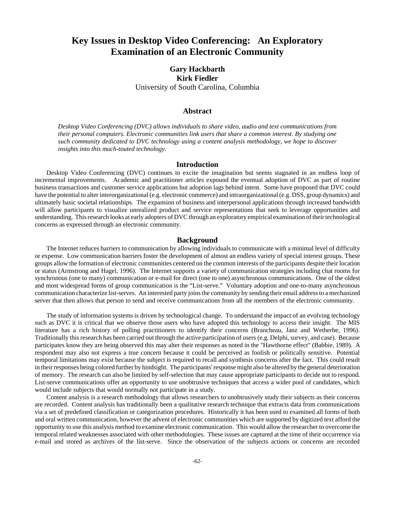## **Key Issues in Desktop Video Conferencing: An Exploratory Examination of an Electronic Community**

### **Gary Hackbarth Kirk Fiedler** University of South Carolina, Columbia

#### **Abstract**

*Desktop Video Conferencing (DVC) allows individuals to share video, audio and text communications from their personal computers. Electronic communities link users that share a common interest. By studying one such community dedicated to DVC technology using a content analysis methodology, we hope to discover insights into this much-touted technology.*

#### **Introduction**

Desktop Video Conferencing (DVC) continues to excite the imagination but seems stagnated in an endless loop of incremental improvements. Academic and practitioner articles expound the eventual adoption of DVC as part of routine business transactions and customer service applications but adoption lags behind intent. Some have proposed that DVC could have the potential to alter interorganizational (e.g. electronic commerce) and intraorganizational (e.g. DSS, group dynamics) and ultimately basic societal relationships. The expansion of business and interpersonal applications through increased bandwidth will allow participants to visualize unrealized product and service representations that seek to leverage opportunities and understanding. This research looks at early adopters of DVC through an exploratory empirical examination of their technological concerns as expressed through an electronic community.

#### **Background**

The Internet reduces barriers to communication by allowing individuals to communicate with a minimal level of difficulty or expense. Low communication barriers foster the development of almost an endless variety of special interest groups. These groups allow the formation of electronic communities centered on the common interests of the participants despite their location or status (Armstrong and Hagel, 1996). The Internet supports a variety of communication strategies including chat rooms for synchronous (one to many) communication or e-mail for direct (one to one) asynchronous communications. One of the oldest and most widespread forms of group communication is the "List-serve." Voluntary adoption and one-to-many asynchronous communication characterize list-serves. An interested party joins the community by sending their email address to a mechanized server that then allows that person to send and receive communications from all the members of the electronic community.

The study of information systems is driven by technological change. To understand the impact of an evolving technology such as DVC it is critical that we observe those users who have adopted this technology to access their insight. The MIS literature has a rich history of polling practitioners to identify their concerns (Brancheau, Janz and Wetherbe, 1996). Traditionally this research has been carried out through the active participation of users (e.g. Delphi, survey, and case). Because participates know they are being observed this may alter their responses as noted in the "Hawthorne effect" (Babbie, 1989). A respondent may also not express a true concern because it could be perceived as foolish or politically sensitive. Potential temporal limitations may exist because the subject is required to recall and synthesis concerns after the fact. This could result in their responses being colored further by hindsight. The participants' response might also be altered by the general deterioration of memory. The research can also be limited by self-selection that may cause appropriate participants to decide not to respond. List-serve communications offer an opportunity to use unobtrusive techniques that access a wider pool of candidates, which would include subjects that would normally not participate in a study.

Content analysis is a research methodology that allows researchers to unobtrusively study their subjects as their concerns are recorded. Content analysis has traditionally been a qualitative research technique that extracts data from communications via a set of predefined classification or categorization procedures. Historically it has been used to examined all forms of both and oral written communication, however the advent of electronic communities which are supported by digitized text afford the opportunity to use this analysis method to examine electronic communication. This would allow the researcher to overcome the temporal related weaknesses associated with other methodologies. These issues are captured at the time of their occurrence via e-mail and stored as archives of the list-serve. Since the observation of the subjects actions or concerns are recorded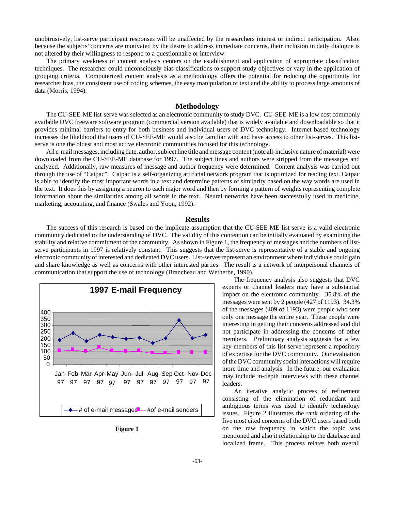unobtrusively, list-serve participant responses will be unaffected by the researchers interest or indirect participation. Also, because the subjects' concerns are motivated by the desire to address immediate concerns, their inclusion in daily dialogue is not altered by their willingness to respond to a questionnaire or interview.

The primary weakness of content analysis centers on the establishment and application of appropriate classification techniques. The researcher could unconsciously bias classifications to support study objectives or vary in the application of grouping criteria. Computerized content analysis as a methodology offers the potential for reducing the opportunity for researcher bias, the consistent use of coding schemes, the easy manipulation of text and the ability to process large amounts of data (Morris, 1994).

#### **Methodology**

The CU-SEE-ME list-serve was selected as an electronic community to study DVC. CU-SEE-ME is a low cost commonly available DVC freeware software program (commercial version available) that is widely available and downloadable so that it provides minimal barriers to entry for both business and individual users of DVC technology. Internet based technology increases the likelihood that users of CU-SEE-ME would also be familiar with and have access to other list-serves. This listserve is one the oldest and most active electronic communities focused for this technology.

All e-mail messages, including date, author, subject line title and message content (note all-inclusive nature of material) were downloaded from the CU-SEE-ME database for 1997. The subject lines and authors were stripped from the messages and analyzed. Additionally, raw measures of message and author frequency were determined. Content analysis was carried out through the use of "Catpac". Catpac is a self-organizing artificial network program that is optimized for reading text. Catpac is able to identify the most important words in a text and determine patterns of similarity based on the way words are used in the text. It does this by assigning a neuron to each major word and then by forming a pattern of weights representing complete information about the similarities among all words in the text. Neural networks have been successfully used in medicine, marketing, accounting, and finance (Swales and Yoon, 1992).

#### **Results**

The success of this research is based on the implicate assumption that the CU-SEE-ME list serve is a valid electronic community dedicated to the understanding of DVC. The validity of this contention can be initially evaluated by examining the stability and relative commitment of the community. As shown in Figure 1, the frequency of messages and the numbers of listserve participants in 1997 is relatively constant. This suggests that the list-serve is representative of a stable and ongoing electronic community of interested and dedicated DVC users. List-serves represent an environment where individuals could gain and share knowledge as well as concerns with other interested parties. The result is a network of interpersonal channels of communication that support the use of technology (Brancheau and Wetherbe, 1990).





The frequency analysis also suggests that DVC experts or channel leaders may have a substantial impact on the electronic community. 35.8% of the messages were sent by 2 people (427 of 1193). 34.3% of the messages (409 of 1193) were people who sent only one message the entire year. These people were interesting in getting their concerns addressed and did not participate in addressing the concerns of other members. Preliminary analysis suggests that a few key members of this list-serve represent a repository of expertise for the DVC community. Our evaluation of the DVC community social interactions will require more time and analysis. In the future, our evaluation may include in-depth interviews with these channel leaders.

An iterative analytic process of refinement consisting of the elimination of redundant and ambiguous terms was used to identify technology issues. Figure 2 illustrates the rank ordering of the five most cited concerns of the DVC users based both on the raw frequency in which the topic was mentioned and also it relationship to the database and localized frame. This process relates both overall